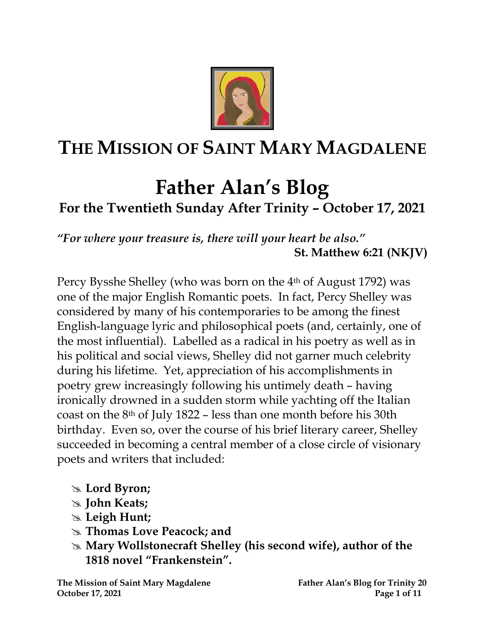

# **THE MISSION OF SAINT MARY MAGDALENE**

# **Father Alan's Blog**

# **For the Twentieth Sunday After Trinity – October 17, 2021**

*"For where your treasure is, there will your heart be also."* **St. Matthew 6:21 (NKJV)**

Percy Bysshe Shelley (who was born on the 4th of August 1792) was one of the major English Romantic poets. In fact, Percy Shelley was considered by many of his contemporaries to be among the finest English-language lyric and philosophical poets (and, certainly, one of the most influential). Labelled as a radical in his poetry as well as in his political and social views, Shelley did not garner much celebrity during his lifetime. Yet, appreciation of his accomplishments in poetry grew increasingly following his untimely death – having ironically drowned in a sudden storm while yachting off the Italian coast on the 8th of July 1822 – less than one month before his 30th birthday. Even so, over the course of his brief literary career, Shelley succeeded in becoming a central member of a close circle of visionary poets and writers that included:

- **Lord Byron;**
- **John Keats;**
- **Leigh Hunt;**
- **Thomas Love Peacock; and**
- **Mary Wollstonecraft Shelley (his second wife), author of the 1818 novel "Frankenstein".**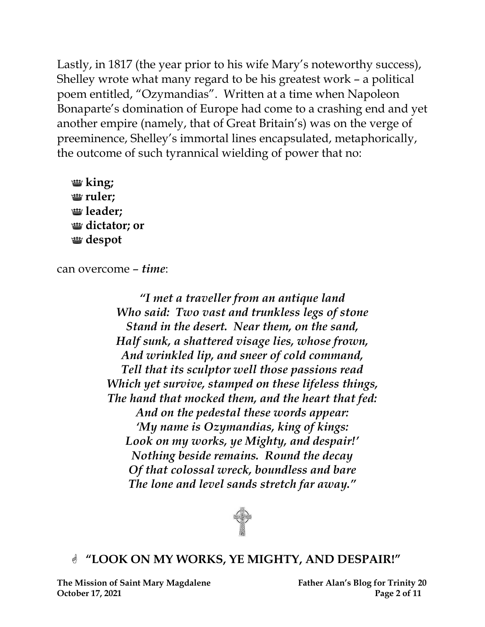Lastly, in 1817 (the year prior to his wife Mary's noteworthy success), Shelley wrote what many regard to be his greatest work – a political poem entitled, "Ozymandias". Written at a time when Napoleon Bonaparte's domination of Europe had come to a crashing end and yet another empire (namely, that of [Great Britain](https://www.bing.com/search?q=Great+Britain&filters=sid%3a73c6fc69-5944-ff0a-9ecd-5c2e5dbebb9d&form=ENTLNK)'s) was on the verge of preeminence, Shelley's immortal lines encapsulated, metaphorically, the outcome of such tyrannical wielding of power that no:

**king; ruler; leader; dictator; or despot**

can overcome – *time*:

*"I met a traveller from an antique land Who said: Two vast and trunkless legs of stone Stand in the desert. Near them, on the sand, Half sunk, a shattered visage lies, whose frown, And wrinkled lip, and sneer of cold command, Tell that its sculptor well those passions read Which yet survive, stamped on these lifeless things, The hand that mocked them, and the heart that fed: And on the pedestal these words appear: 'My name is Ozymandias, king of kings: Look on my works, ye Mighty, and despair!' Nothing beside remains. Round the decay Of that colossal wreck, boundless and bare The lone and level sands stretch far away."*



#### **"LOOK ON MY WORKS, YE MIGHTY, AND DESPAIR!"**

**The Mission of Saint Mary Magdalene Father Alan's Blog for Trinity 20 October 17, 2021** Page 2 of 11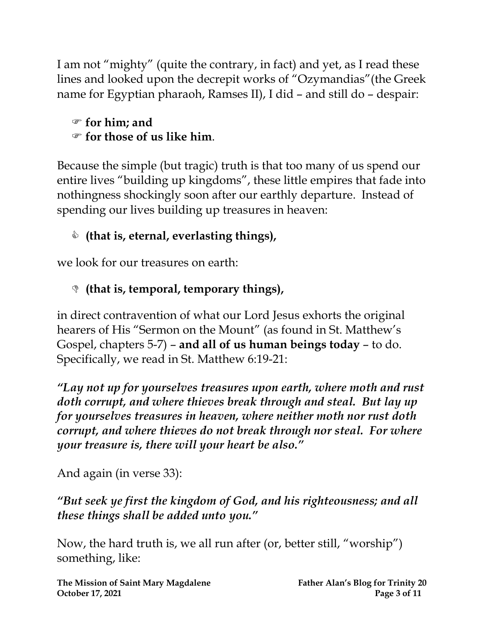I am not "mighty" (quite the contrary, in fact) and yet, as I read these lines and looked upon the decrepit works of "Ozymandias"(the Greek name for Egyptian pharaoh, [Ramses II\)](https://en.wikipedia.org/wiki/Ramesses_II), I did – and still do – despair:

#### **for him; and for those of us like him**.

Because the simple (but tragic) truth is that too many of us spend our entire lives "building up kingdoms", these little empires that fade into nothingness shockingly soon after our earthly departure. Instead of spending our lives building up treasures in heaven:

# **(that is, eternal, everlasting things),**

we look for our treasures on earth:

# **(that is, temporal, temporary things),**

in direct contravention of what our Lord Jesus exhorts the original hearers of His "Sermon on the Mount" (as found in St. Matthew's Gospel, chapters 5-7) – **and all of us human beings today** – to do. Specifically, we read in St. Matthew 6:19-21:

*"Lay not up for yourselves treasures upon earth, where moth and rust doth corrupt, and where thieves break through and steal. But lay up for yourselves treasures in heaven, where neither moth nor rust doth corrupt, and where thieves do not break through nor steal. For where your treasure is, there will your heart be also."*

And again (in verse 33):

## *"But seek ye first the kingdom of God, and his righteousness; and all these things shall be added unto you."*

Now, the hard truth is, we all run after (or, better still, "worship") something, like:

**The Mission of Saint Mary Magdalene Father Alan's Blog for Trinity 20 October 17, 2021** Page 3 of 11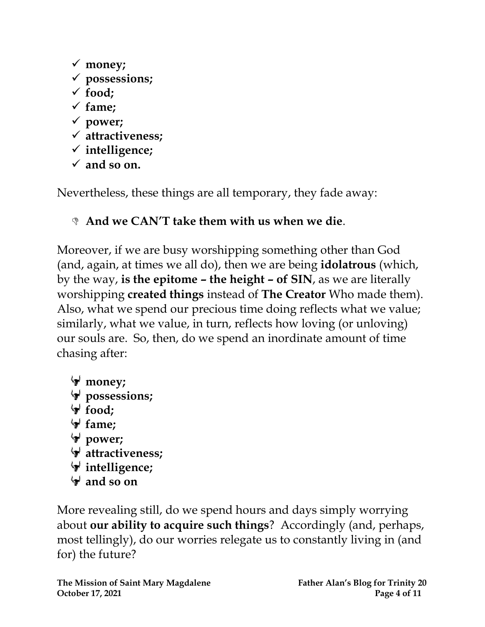- ✓ **money;**
- ✓ **possessions;**
- ✓ **food;**
- ✓ **fame;**
- ✓ **power;**
- ✓ **attractiveness;**
- ✓ **intelligence;**
- $\checkmark$  and so on.

Nevertheless, these things are all temporary, they fade away:

# **And we CAN'T take them with us when we die**.

Moreover, if we are busy worshipping something other than God (and, again, at times we all do), then we are being **idolatrous** (which, by the way, **is the epitome – the height – of SIN**, as we are literally worshipping **created things** instead of **The Creator** Who made them). Also, what we spend our precious time doing reflects what we value; similarly, what we value, in turn, reflects how loving (or unloving) our souls are. So, then, do we spend an inordinate amount of time chasing after:

**money;**  $\forall$  possessions; **food; fame; power; attractiveness; intelligence; and so on**

More revealing still, do we spend hours and days simply worrying about **our ability to acquire such things**? Accordingly (and, perhaps, most tellingly), do our worries relegate us to constantly living in (and for) the future?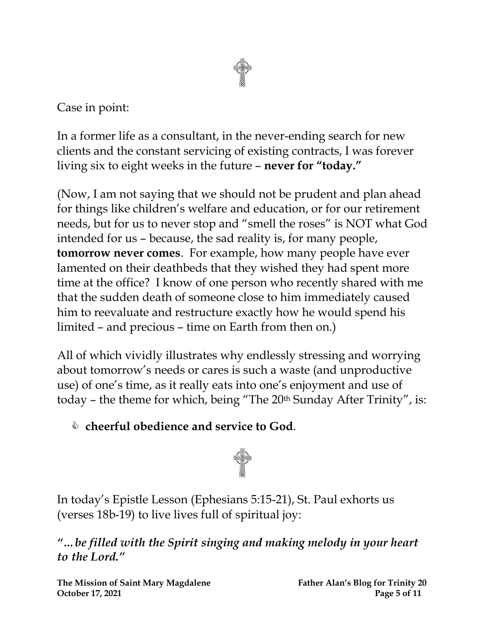

Case in point:

In a former life as a consultant, in the never-ending search for new clients and the constant servicing of existing contracts, I was forever living six to eight weeks in the future – **never for "today."**

(Now, I am not saying that we should not be prudent and plan ahead for things like children's welfare and education, or for our retirement needs, but for us to never stop and "smell the roses" is NOT what God intended for us – because, the sad reality is, for many people, **tomorrow never comes**. For example, how many people have ever lamented on their deathbeds that they wished they had spent more time at the office? I know of one person who recently shared with me that the sudden death of someone close to him immediately caused him to reevaluate and restructure exactly how he would spend his limited – and precious – time on Earth from then on.)

All of which vividly illustrates why endlessly stressing and worrying about tomorrow's needs or cares is such a waste (and unproductive use) of one's time, as it really eats into one's enjoyment and use of today - the theme for which, being "The 20<sup>th</sup> Sunday After Trinity", is:

**cheerful obedience and service to God**.



In today's Epistle Lesson (Ephesians 5:15-21), St. Paul exhorts us (verses 18b-19) to live lives full of spiritual joy:

*"…be filled with the Spirit singing and making melody in your heart to the Lord."*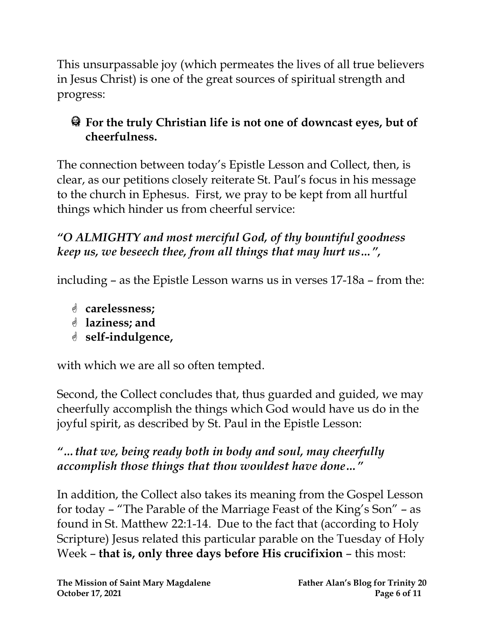This unsurpassable joy (which permeates the lives of all true believers in Jesus Christ) is one of the great sources of spiritual strength and progress:

# **For the truly Christian life is not one of downcast eyes, but of cheerfulness.**

The connection between today's Epistle Lesson and Collect, then, is clear, as our petitions closely reiterate St. Paul's focus in his message to the church in Ephesus. First, we pray to be kept from all hurtful things which hinder us from cheerful service:

## *"O ALMIGHTY and most merciful God, of thy bountiful goodness keep us, we beseech thee, from all things that may hurt us…" ,*

including – as the Epistle Lesson warns us in verses 17-18a – from the:

- **carelessness;**
- **laziness; and**
- **self-indulgence,**

with which we are all so often tempted.

Second, the Collect concludes that, thus guarded and guided, we may cheerfully accomplish the things which God would have us do in the joyful spirit, as described by St. Paul in the Epistle Lesson:

# *"…that we, being ready both in body and soul, may cheerfully accomplish those things that thou wouldest have done…"*

In addition, the Collect also takes its meaning from the Gospel Lesson for today – "The Parable of the Marriage Feast of the King's Son" – as found in St. Matthew 22:1-14. Due to the fact that (according to Holy Scripture) Jesus related this particular parable on the Tuesday of Holy Week – **that is, only three days before His crucifixion** – this most: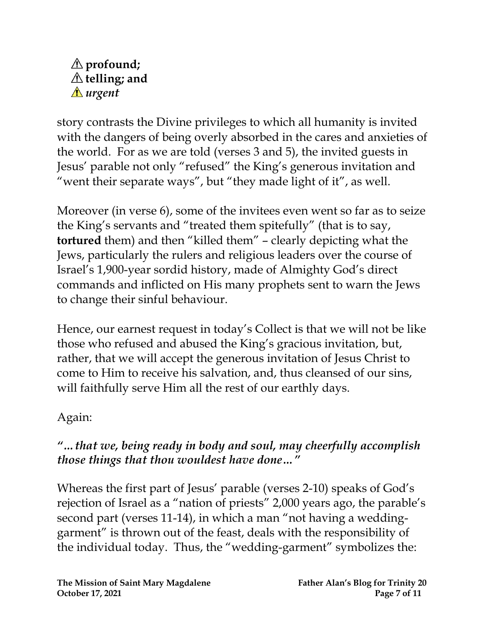#### **profound; telling; and** *urgent*

story contrasts the Divine privileges to which all humanity is invited with the dangers of being overly absorbed in the cares and anxieties of the world. For as we are told (verses 3 and 5), the invited guests in Jesus' parable not only "refused" the King's generous invitation and "went their separate ways", but "they made light of it", as well.

Moreover (in verse 6), some of the invitees even went so far as to seize the King's servants and "treated them spitefully" (that is to say, **tortured** them) and then "killed them" – clearly depicting what the Jews, particularly the rulers and religious leaders over the course of Israel's 1,900-year sordid history, made of Almighty God's direct commands and inflicted on His many prophets sent to warn the Jews to change their sinful behaviour.

Hence, our earnest request in today's Collect is that we will not be like those who refused and abused the King's gracious invitation, but, rather, that we will accept the generous invitation of Jesus Christ to come to Him to receive his salvation, and, thus cleansed of our sins, will faithfully serve Him all the rest of our earthly days.

#### Again:

#### *"…that we, being ready in body and soul, may cheerfully accomplish those things that thou wouldest have done…"*

Whereas the first part of Jesus' parable (verses 2-10) speaks of God's rejection of Israel as a "nation of priests" 2,000 years ago, the parable's second part (verses 11-14), in which a man "not having a weddinggarment" is thrown out of the feast, deals with the responsibility of the individual today. Thus, the "wedding-garment" symbolizes the: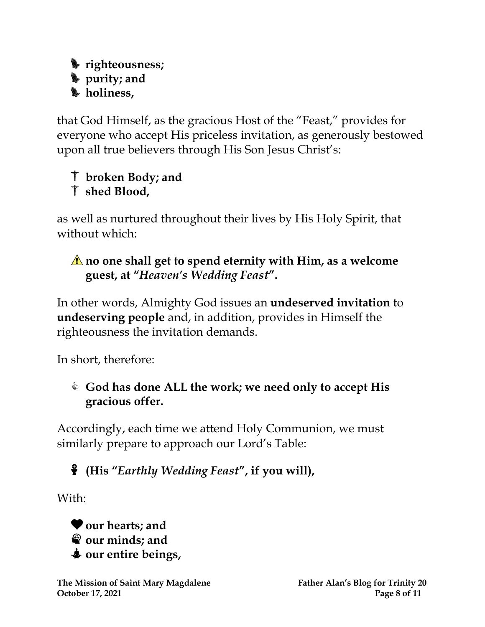#### **righteousness; purity; and holiness,**

that God Himself, as the gracious Host of the "Feast," provides for everyone who accept His priceless invitation, as generously bestowed upon all true believers through His Son Jesus Christ's:

# **broken Body; and shed Blood,**

as well as nurtured throughout their lives by His Holy Spirit, that without which:

## **no one shall get to spend eternity with Him, as a welcome guest, at "***Heaven's Wedding Feast***".**

In other words, Almighty God issues an **undeserved invitation** to **undeserving people** and, in addition, provides in Himself the righteousness the invitation demands.

In short, therefore:

## **God has done ALL the work; we need only to accept His gracious offer.**

Accordingly, each time we attend Holy Communion, we must similarly prepare to approach our Lord's Table:

# **(His "***Earthly Wedding Feast***" , if you will),**

With:

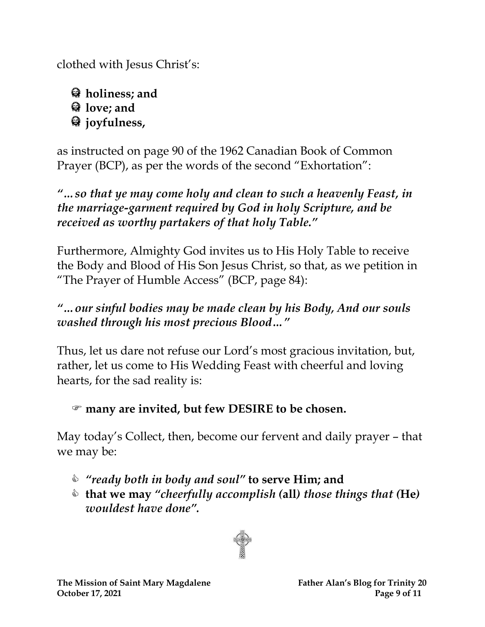clothed with Jesus Christ's:

**holiness; and love; and joyfulness,** 

as instructed on page 90 of the 1962 Canadian Book of Common Prayer (BCP), as per the words of the second "Exhortation":

*"…so that ye may come holy and clean to such a heavenly Feast, in the marriage-garment required by God in holy Scripture, and be received as worthy partakers of that holy Table."* 

Furthermore, Almighty God invites us to His Holy Table to receive the Body and Blood of His Son Jesus Christ, so that, as we petition in "The Prayer of Humble Access" (BCP, page 84):

## *"…our sinful bodies may be made clean by his Body, And our souls washed through his most precious Blood…"*

Thus, let us dare not refuse our Lord's most gracious invitation, but, rather, let us come to His Wedding Feast with cheerful and loving hearts, for the sad reality is:

**many are invited, but few DESIRE to be chosen.**

May today's Collect, then, become our fervent and daily prayer – that we may be:

- *"ready both in body and soul"* **to serve Him; and**
- **that we may** *"cheerfully accomplish (***all***) those things that (***He***) wouldest have done".*

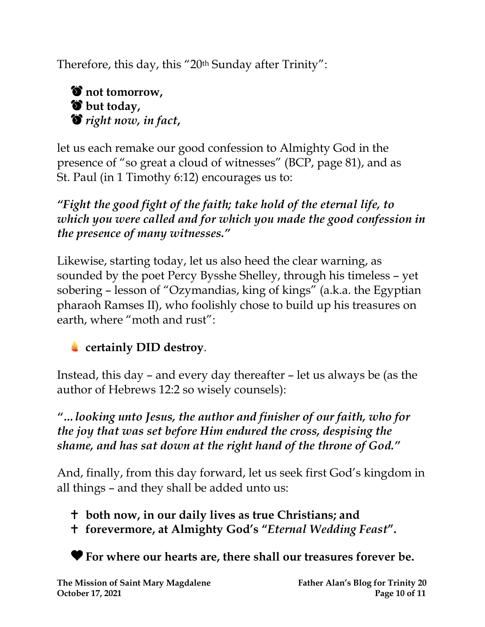Therefore, this day, this "20<sup>th</sup> Sunday after Trinity":



let us each remake our good confession to Almighty God in the presence of "so great a cloud of witnesses" (BCP, page 81), and as St. Paul (in 1 Timothy 6:12) encourages us to:

*"Fight the good fight of the faith; take hold of the eternal life, to which you were called and for which you made the good confession in the presence of many witnesses."*

Likewise, starting today, let us also heed the clear warning, as sounded by the poet Percy Bysshe Shelley, through his timeless – yet sobering – lesson of "Ozymandias, king of kings" (a.k.a. the Egyptian pharaoh Ramses II), who foolishly chose to build up his treasures on earth, where "moth and rust":

## **certainly DID destroy**.

Instead, this day – and every day thereafter – let us always be (as the author of Hebrews 12:2 so wisely counsels):

*"…looking unto Jesus, the author and finisher of our faith, who for the joy that was set before Him endured the cross, despising the shame, and has sat down at the right hand of the throne of God."*

And, finally, from this day forward, let us seek first God's kingdom in all things – and they shall be added unto us:

**both now, in our daily lives as true Christians; and**

**forevermore, at Almighty God's "***Eternal Wedding Feast***".**

**For where our hearts are, there shall our treasures forever be.**